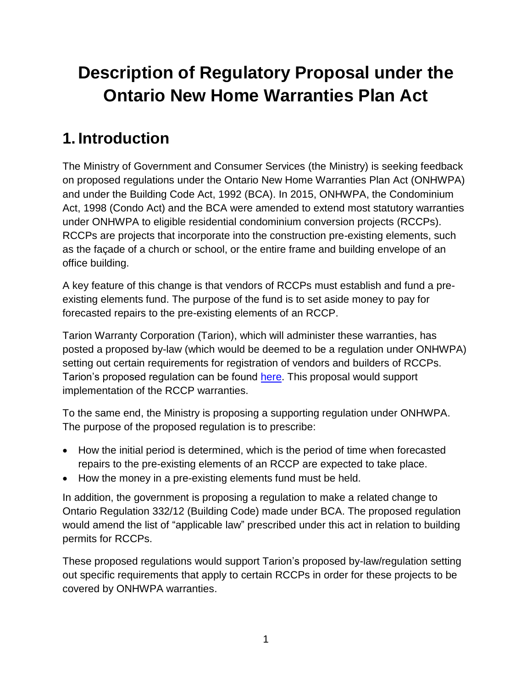# **Description of Regulatory Proposal under the Ontario New Home Warranties Plan Act**

## **1. Introduction**

The Ministry of Government and Consumer Services (the Ministry) is seeking feedback on proposed regulations under the Ontario New Home Warranties Plan Act (ONHWPA) and under the Building Code Act, 1992 (BCA). In 2015, ONHWPA, the Condominium Act, 1998 (Condo Act) and the BCA were amended to extend most statutory warranties under ONHWPA to eligible residential condominium conversion projects (RCCPs). RCCPs are projects that incorporate into the construction pre-existing elements, such as the façade of a church or school, or the entire frame and building envelope of an office building.

A key feature of this change is that vendors of RCCPs must establish and fund a preexisting elements fund. The purpose of the fund is to set aside money to pay for forecasted repairs to the pre-existing elements of an RCCP.

Tarion Warranty Corporation (Tarion), which will administer these warranties, has posted a proposed by-law (which would be deemed to be a regulation under ONHWPA) setting out certain requirements for registration of vendors and builders of RCCPs. Tarion's proposed regulation can be found [here.](http://www.ontariocanada.com/registry/view.do?postingId=24507&language=en) This proposal would support implementation of the RCCP warranties.

To the same end, the Ministry is proposing a supporting regulation under ONHWPA. The purpose of the proposed regulation is to prescribe:

- How the initial period is determined, which is the period of time when forecasted repairs to the pre-existing elements of an RCCP are expected to take place.
- How the money in a pre-existing elements fund must be held.

In addition, the government is proposing a regulation to make a related change to Ontario Regulation 332/12 (Building Code) made under BCA. The proposed regulation would amend the list of "applicable law" prescribed under this act in relation to building permits for RCCPs.

These proposed regulations would support Tarion's proposed by-law/regulation setting out specific requirements that apply to certain RCCPs in order for these projects to be covered by ONHWPA warranties.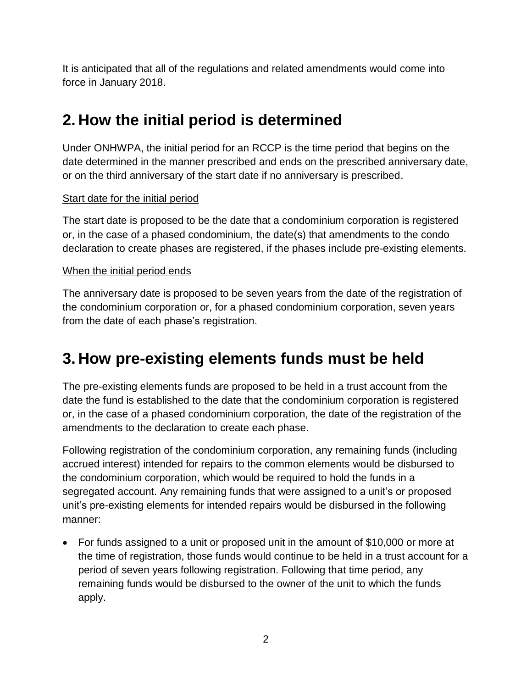It is anticipated that all of the regulations and related amendments would come into force in January 2018.

## **2. How the initial period is determined**

Under ONHWPA, the initial period for an RCCP is the time period that begins on the date determined in the manner prescribed and ends on the prescribed anniversary date, or on the third anniversary of the start date if no anniversary is prescribed.

#### Start date for the initial period

The start date is proposed to be the date that a condominium corporation is registered or, in the case of a phased condominium, the date(s) that amendments to the condo declaration to create phases are registered, if the phases include pre-existing elements.

#### When the initial period ends

The anniversary date is proposed to be seven years from the date of the registration of the condominium corporation or, for a phased condominium corporation, seven years from the date of each phase's registration.

### **3. How pre-existing elements funds must be held**

The pre-existing elements funds are proposed to be held in a trust account from the date the fund is established to the date that the condominium corporation is registered or, in the case of a phased condominium corporation, the date of the registration of the amendments to the declaration to create each phase.

Following registration of the condominium corporation, any remaining funds (including accrued interest) intended for repairs to the common elements would be disbursed to the condominium corporation, which would be required to hold the funds in a segregated account. Any remaining funds that were assigned to a unit's or proposed unit's pre-existing elements for intended repairs would be disbursed in the following manner:

 For funds assigned to a unit or proposed unit in the amount of \$10,000 or more at the time of registration, those funds would continue to be held in a trust account for a period of seven years following registration. Following that time period, any remaining funds would be disbursed to the owner of the unit to which the funds apply.